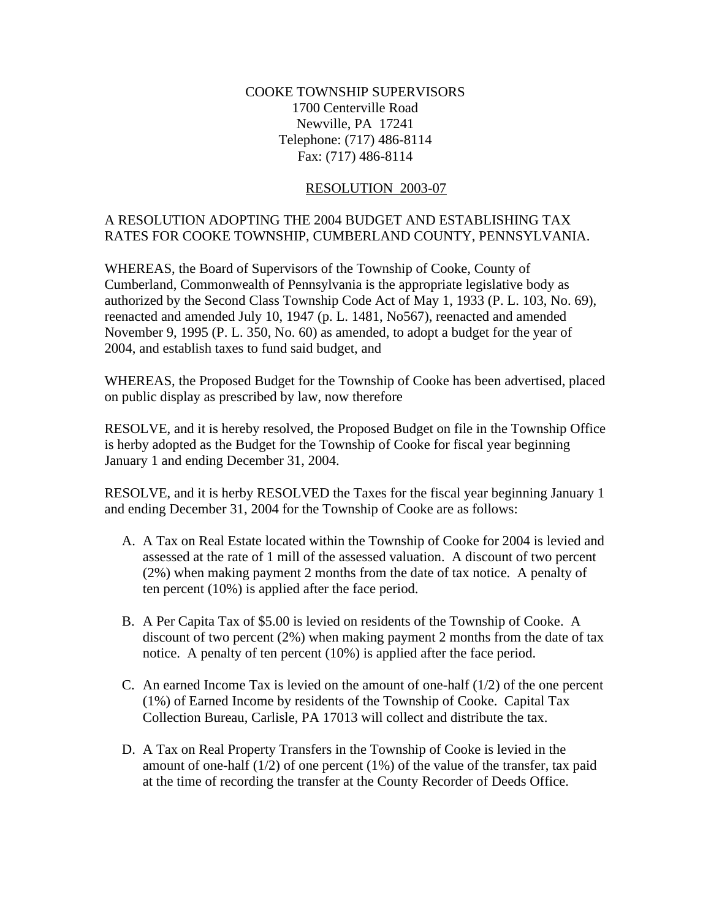## COOKE TOWNSHIP SUPERVISORS 1700 Centerville Road Newville, PA 17241 Telephone: (717) 486-8114 Fax: (717) 486-8114

## RESOLUTION 2003-07

## A RESOLUTION ADOPTING THE 2004 BUDGET AND ESTABLISHING TAX RATES FOR COOKE TOWNSHIP, CUMBERLAND COUNTY, PENNSYLVANIA.

WHEREAS, the Board of Supervisors of the Township of Cooke, County of Cumberland, Commonwealth of Pennsylvania is the appropriate legislative body as authorized by the Second Class Township Code Act of May 1, 1933 (P. L. 103, No. 69), reenacted and amended July 10, 1947 (p. L. 1481, No567), reenacted and amended November 9, 1995 (P. L. 350, No. 60) as amended, to adopt a budget for the year of 2004, and establish taxes to fund said budget, and

WHEREAS, the Proposed Budget for the Township of Cooke has been advertised, placed on public display as prescribed by law, now therefore

RESOLVE, and it is hereby resolved, the Proposed Budget on file in the Township Office is herby adopted as the Budget for the Township of Cooke for fiscal year beginning January 1 and ending December 31, 2004.

RESOLVE, and it is herby RESOLVED the Taxes for the fiscal year beginning January 1 and ending December 31, 2004 for the Township of Cooke are as follows:

- A. A Tax on Real Estate located within the Township of Cooke for 2004 is levied and assessed at the rate of 1 mill of the assessed valuation. A discount of two percent (2%) when making payment 2 months from the date of tax notice. A penalty of ten percent (10%) is applied after the face period.
- B. A Per Capita Tax of \$5.00 is levied on residents of the Township of Cooke. A discount of two percent (2%) when making payment 2 months from the date of tax notice. A penalty of ten percent (10%) is applied after the face period.
- C. An earned Income Tax is levied on the amount of one-half  $(1/2)$  of the one percent (1%) of Earned Income by residents of the Township of Cooke. Capital Tax Collection Bureau, Carlisle, PA 17013 will collect and distribute the tax.
- D. A Tax on Real Property Transfers in the Township of Cooke is levied in the amount of one-half  $(1/2)$  of one percent  $(1%)$  of the value of the transfer, tax paid at the time of recording the transfer at the County Recorder of Deeds Office.